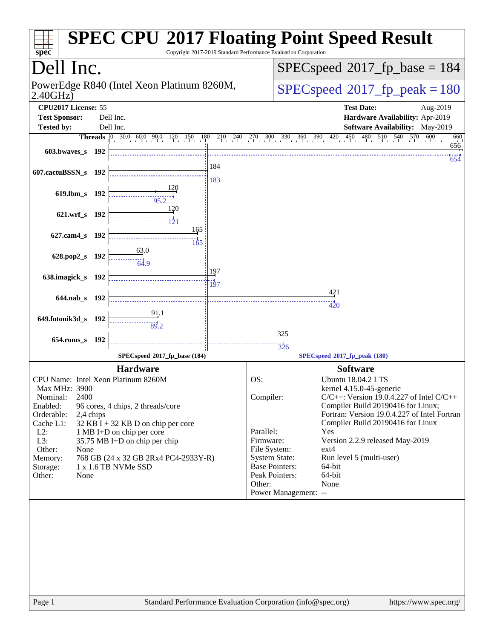| $spec^*$                                                                                                                                             |           |                                                                                                                                                                                                                                                                  |                         |                                                                                                                                         | Copyright 2017-2019 Standard Performance Evaluation Corporation | <b>SPEC CPU®2017 Floating Point Speed Result</b>                                                                                                                                                                                                                                                                                                               |  |  |
|------------------------------------------------------------------------------------------------------------------------------------------------------|-----------|------------------------------------------------------------------------------------------------------------------------------------------------------------------------------------------------------------------------------------------------------------------|-------------------------|-----------------------------------------------------------------------------------------------------------------------------------------|-----------------------------------------------------------------|----------------------------------------------------------------------------------------------------------------------------------------------------------------------------------------------------------------------------------------------------------------------------------------------------------------------------------------------------------------|--|--|
| Dell Inc.                                                                                                                                            |           |                                                                                                                                                                                                                                                                  |                         |                                                                                                                                         | $SPEC speed^{\circ}2017\_fp\_base = 184$                        |                                                                                                                                                                                                                                                                                                                                                                |  |  |
| PowerEdge R840 (Intel Xeon Platinum 8260M,<br>2.40GHz                                                                                                |           |                                                                                                                                                                                                                                                                  |                         |                                                                                                                                         |                                                                 | $SPEC speed^{\circ}2017$ fp peak = 180                                                                                                                                                                                                                                                                                                                         |  |  |
| CPU2017 License: 55<br><b>Test Sponsor:</b><br>Dell Inc.                                                                                             |           |                                                                                                                                                                                                                                                                  |                         |                                                                                                                                         |                                                                 | <b>Test Date:</b><br>Aug-2019<br>Hardware Availability: Apr-2019                                                                                                                                                                                                                                                                                               |  |  |
| <b>Tested by:</b>                                                                                                                                    |           | Dell Inc.                                                                                                                                                                                                                                                        |                         |                                                                                                                                         |                                                                 | <b>Software Availability:</b> May-2019                                                                                                                                                                                                                                                                                                                         |  |  |
|                                                                                                                                                      |           |                                                                                                                                                                                                                                                                  |                         |                                                                                                                                         |                                                                 | Threads 0 30.0 60.0 90.0 120 130 210 240 270 300 330 360 390 420 450 480 510 540 570 600<br>660                                                                                                                                                                                                                                                                |  |  |
| 603.bwayes s 192                                                                                                                                     |           |                                                                                                                                                                                                                                                                  |                         |                                                                                                                                         |                                                                 | 656<br>654                                                                                                                                                                                                                                                                                                                                                     |  |  |
| 607.cactuBSSN_s 192                                                                                                                                  |           |                                                                                                                                                                                                                                                                  | 184<br>183              |                                                                                                                                         |                                                                 |                                                                                                                                                                                                                                                                                                                                                                |  |  |
| 619.lbm_s 192                                                                                                                                        |           | 95.2                                                                                                                                                                                                                                                             |                         |                                                                                                                                         |                                                                 |                                                                                                                                                                                                                                                                                                                                                                |  |  |
| 621.wrf_s 192                                                                                                                                        |           | <u>120</u>                                                                                                                                                                                                                                                       |                         |                                                                                                                                         |                                                                 |                                                                                                                                                                                                                                                                                                                                                                |  |  |
| 627.cam4_s 192                                                                                                                                       |           | 165<br>165                                                                                                                                                                                                                                                       |                         |                                                                                                                                         |                                                                 |                                                                                                                                                                                                                                                                                                                                                                |  |  |
| 628.pop2_s 192                                                                                                                                       |           | 63.0<br>$-4.9$                                                                                                                                                                                                                                                   |                         |                                                                                                                                         |                                                                 |                                                                                                                                                                                                                                                                                                                                                                |  |  |
| 638.imagick_s 192                                                                                                                                    |           |                                                                                                                                                                                                                                                                  | 197<br>$\frac{15}{197}$ |                                                                                                                                         |                                                                 |                                                                                                                                                                                                                                                                                                                                                                |  |  |
| 644.nab s 192                                                                                                                                        |           |                                                                                                                                                                                                                                                                  |                         |                                                                                                                                         |                                                                 | 421                                                                                                                                                                                                                                                                                                                                                            |  |  |
|                                                                                                                                                      |           | 91.1                                                                                                                                                                                                                                                             |                         |                                                                                                                                         |                                                                 | 420                                                                                                                                                                                                                                                                                                                                                            |  |  |
| 649.fotonik3d_s 192                                                                                                                                  |           | 39.2                                                                                                                                                                                                                                                             |                         |                                                                                                                                         |                                                                 |                                                                                                                                                                                                                                                                                                                                                                |  |  |
|                                                                                                                                                      |           |                                                                                                                                                                                                                                                                  |                         |                                                                                                                                         | 325                                                             |                                                                                                                                                                                                                                                                                                                                                                |  |  |
| 654.roms_s 192                                                                                                                                       |           |                                                                                                                                                                                                                                                                  |                         |                                                                                                                                         | 326                                                             |                                                                                                                                                                                                                                                                                                                                                                |  |  |
|                                                                                                                                                      |           | SPECspeed®2017_fp_base (184)                                                                                                                                                                                                                                     |                         |                                                                                                                                         |                                                                 | SPECspeed®2017_fp_peak (180)                                                                                                                                                                                                                                                                                                                                   |  |  |
| Max MHz: 3900<br>Nominal:<br>2400<br>Enabled:<br>Orderable:<br>Cache L1:<br>$L2$ :<br>L3:<br>Other:<br>None<br>Memory:<br>Storage:<br>Other:<br>None | 2,4 chips | <b>Hardware</b><br>CPU Name: Intel Xeon Platinum 8260M<br>96 cores, 4 chips, 2 threads/core<br>$32$ KB I + 32 KB D on chip per core<br>1 MB I+D on chip per core<br>35.75 MB I+D on chip per chip<br>768 GB (24 x 32 GB 2Rx4 PC4-2933Y-R)<br>1 x 1.6 TB NVMe SSD |                         | OS:<br>Compiler:<br>Parallel:<br>Firmware:<br>File System:<br><b>System State:</b><br><b>Base Pointers:</b><br>Peak Pointers:<br>Other: | Power Management: --                                            | <b>Software</b><br><b>Ubuntu 18.04.2 LTS</b><br>kernel 4.15.0-45-generic<br>$C/C++$ : Version 19.0.4.227 of Intel $C/C++$<br>Compiler Build 20190416 for Linux;<br>Fortran: Version 19.0.4.227 of Intel Fortran<br>Compiler Build 20190416 for Linux<br>Yes<br>Version 2.2.9 released May-2019<br>ext4<br>Run level 5 (multi-user)<br>64-bit<br>64-bit<br>None |  |  |
|                                                                                                                                                      |           |                                                                                                                                                                                                                                                                  |                         |                                                                                                                                         |                                                                 |                                                                                                                                                                                                                                                                                                                                                                |  |  |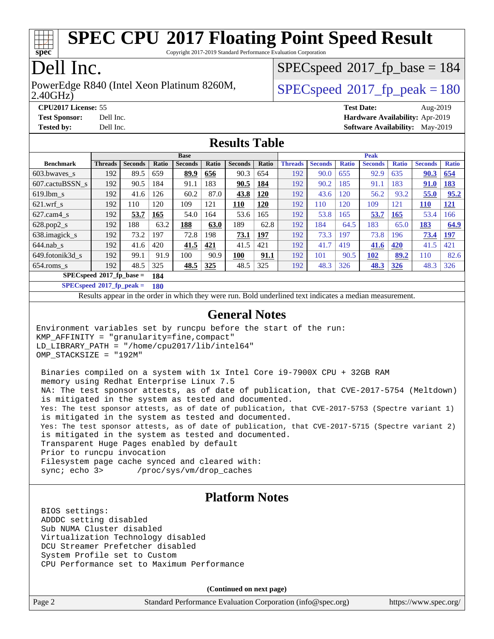

Copyright 2017-2019 Standard Performance Evaluation Corporation

## Dell Inc.

2.40GHz) PowerEdge R840 (Intel Xeon Platinum 8260M,  $SPEC speed@2017$  fp\_peak = 180

[SPECspeed](http://www.spec.org/auto/cpu2017/Docs/result-fields.html#SPECspeed2017fpbase)<sup>®</sup>2017 fp base = 184

**[CPU2017 License:](http://www.spec.org/auto/cpu2017/Docs/result-fields.html#CPU2017License)** 55 **[Test Date:](http://www.spec.org/auto/cpu2017/Docs/result-fields.html#TestDate)** Aug-2019 **[Test Sponsor:](http://www.spec.org/auto/cpu2017/Docs/result-fields.html#TestSponsor)** Dell Inc. **[Hardware Availability:](http://www.spec.org/auto/cpu2017/Docs/result-fields.html#HardwareAvailability)** Apr-2019 **[Tested by:](http://www.spec.org/auto/cpu2017/Docs/result-fields.html#Testedby)** Dell Inc. **[Software Availability:](http://www.spec.org/auto/cpu2017/Docs/result-fields.html#SoftwareAvailability)** May-2019

### **[Results Table](http://www.spec.org/auto/cpu2017/Docs/result-fields.html#ResultsTable)**

|                                   | <b>Base</b>    |                |            |                |       | <b>Peak</b>    |            |                |                |              |                |              |                |              |
|-----------------------------------|----------------|----------------|------------|----------------|-------|----------------|------------|----------------|----------------|--------------|----------------|--------------|----------------|--------------|
| <b>Benchmark</b>                  | <b>Threads</b> | <b>Seconds</b> | Ratio      | <b>Seconds</b> | Ratio | <b>Seconds</b> | Ratio      | <b>Threads</b> | <b>Seconds</b> | <b>Ratio</b> | <b>Seconds</b> | <b>Ratio</b> | <b>Seconds</b> | <b>Ratio</b> |
| 603.bwayes s                      | 192            | 89.5           | 659        | 89.9           | 656   | 90.3           | 654        | 192            | 90.0           | 655          | 92.9           | 635          | 90.3           | 654          |
| 607.cactuBSSN s                   | 192            | 90.5           | 184        | 91.1           | 183   | 90.5           | <u>184</u> | 192            | 90.2           | 185          | 91.1           | 183          | 91.0           | <u>183</u>   |
| $619.1$ bm s                      | 192            | 41.6           | 126        | 60.2           | 87.0  | 43.8           | <u>120</u> | 192            | 43.6           | 120          | 56.2           | 93.2         | 55.0           | 95.2         |
| $621$ .wrf s                      | 192            | 110            | 120        | 109            | 121   | <u>110</u>     | 120        | 192            | 110            | 120          | 109            | 121          | <b>110</b>     | <u>121</u>   |
| $627$ .cam $4 \text{ s}$          | 192            | 53.7           | <u>165</u> | 54.0           | 164   | 53.6           | 165        | 192            | 53.8           | 165          | 53.7           | <b>165</b>   | 53.4           | 166          |
| $628.pop2_s$                      | 192            | 188            | 63.2       | 188            | 63.0  | 189            | 62.8       | 192            | 184            | 64.5         | 183            | 65.0         | 183            | 64.9         |
| 638.imagick_s                     | 192            | 73.2           | 197        | 72.8           | 198   | 73.1           | 197        | 192            | 73.3           | 197          | 73.8           | 196          | 73.4           | <u>197</u>   |
| $644$ .nab s                      | 192            | 41.6           | 420        | 41.5           | 421   | 41.5           | 421        | 192            | 41.7           | 419          | 41.6           | 420          | 41.5           | 421          |
| 649.fotonik3d s                   | 192            | 99.1           | 91.9       | 100            | 90.9  | 100            | 91.1       | 192            | 101            | 90.5         | 102            | 89.2         | 110            | 82.6         |
| $654$ .roms s                     | 192            | 48.5           | 325        | 48.5           | 325   | 48.5           | 325        | 192            | 48.3           | 326          | <b>48.3</b>    | <b>326</b>   | 48.3           | 326          |
| $SPECspeed*2017$ fp base =<br>184 |                |                |            |                |       |                |            |                |                |              |                |              |                |              |

**[SPECspeed](http://www.spec.org/auto/cpu2017/Docs/result-fields.html#SPECspeed2017fppeak)[2017\\_fp\\_peak =](http://www.spec.org/auto/cpu2017/Docs/result-fields.html#SPECspeed2017fppeak) 180**

Results appear in the [order in which they were run.](http://www.spec.org/auto/cpu2017/Docs/result-fields.html#RunOrder) Bold underlined text [indicates a median measurement](http://www.spec.org/auto/cpu2017/Docs/result-fields.html#Median).

#### **[General Notes](http://www.spec.org/auto/cpu2017/Docs/result-fields.html#GeneralNotes)**

Environment variables set by runcpu before the start of the run: KMP\_AFFINITY = "granularity=fine,compact" LD\_LIBRARY\_PATH = "/home/cpu2017/lib/intel64" OMP\_STACKSIZE = "192M"

 Binaries compiled on a system with 1x Intel Core i9-7900X CPU + 32GB RAM memory using Redhat Enterprise Linux 7.5 NA: The test sponsor attests, as of date of publication, that CVE-2017-5754 (Meltdown) is mitigated in the system as tested and documented. Yes: The test sponsor attests, as of date of publication, that CVE-2017-5753 (Spectre variant 1) is mitigated in the system as tested and documented. Yes: The test sponsor attests, as of date of publication, that CVE-2017-5715 (Spectre variant 2) is mitigated in the system as tested and documented. Transparent Huge Pages enabled by default Prior to runcpu invocation Filesystem page cache synced and cleared with: sync; echo 3> /proc/sys/vm/drop\_caches

#### **[Platform Notes](http://www.spec.org/auto/cpu2017/Docs/result-fields.html#PlatformNotes)**

 BIOS settings: ADDDC setting disabled Sub NUMA Cluster disabled Virtualization Technology disabled DCU Streamer Prefetcher disabled System Profile set to Custom CPU Performance set to Maximum Performance

**(Continued on next page)**

Page 2 Standard Performance Evaluation Corporation [\(info@spec.org\)](mailto:info@spec.org) <https://www.spec.org/>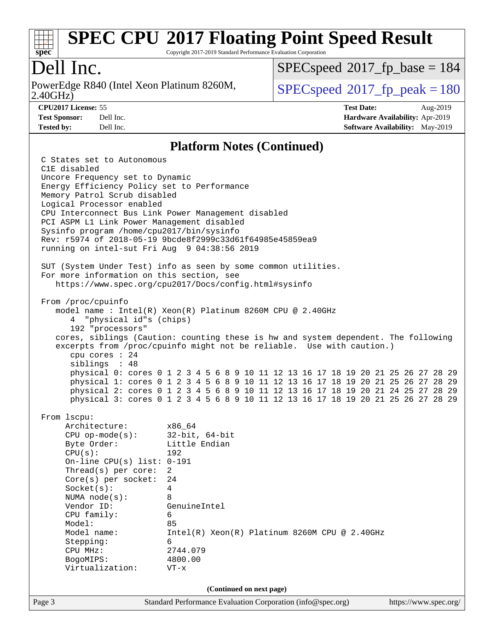

Copyright 2017-2019 Standard Performance Evaluation Corporation

## Dell Inc.

2.40GHz) PowerEdge R840 (Intel Xeon Platinum 8260M,  $SPEC speed@2017$  fp\_peak = 180

[SPECspeed](http://www.spec.org/auto/cpu2017/Docs/result-fields.html#SPECspeed2017fpbase)<sup>®</sup>2017 fp base = 184

**[CPU2017 License:](http://www.spec.org/auto/cpu2017/Docs/result-fields.html#CPU2017License)** 55 **[Test Date:](http://www.spec.org/auto/cpu2017/Docs/result-fields.html#TestDate)** Aug-2019 **[Test Sponsor:](http://www.spec.org/auto/cpu2017/Docs/result-fields.html#TestSponsor)** Dell Inc. **[Hardware Availability:](http://www.spec.org/auto/cpu2017/Docs/result-fields.html#HardwareAvailability)** Apr-2019 **[Tested by:](http://www.spec.org/auto/cpu2017/Docs/result-fields.html#Testedby)** Dell Inc. Dell Inc. **[Software Availability:](http://www.spec.org/auto/cpu2017/Docs/result-fields.html#SoftwareAvailability)** May-2019

#### **[Platform Notes \(Continued\)](http://www.spec.org/auto/cpu2017/Docs/result-fields.html#PlatformNotes)**

Page 3 Standard Performance Evaluation Corporation [\(info@spec.org\)](mailto:info@spec.org) <https://www.spec.org/> C States set to Autonomous C1E disabled Uncore Frequency set to Dynamic Energy Efficiency Policy set to Performance Memory Patrol Scrub disabled Logical Processor enabled CPU Interconnect Bus Link Power Management disabled PCI ASPM L1 Link Power Management disabled Sysinfo program /home/cpu2017/bin/sysinfo Rev: r5974 of 2018-05-19 9bcde8f2999c33d61f64985e45859ea9 running on intel-sut Fri Aug 9 04:38:56 2019 SUT (System Under Test) info as seen by some common utilities. For more information on this section, see <https://www.spec.org/cpu2017/Docs/config.html#sysinfo> From /proc/cpuinfo model name : Intel(R) Xeon(R) Platinum 8260M CPU @ 2.40GHz 4 "physical id"s (chips) 192 "processors" cores, siblings (Caution: counting these is hw and system dependent. The following excerpts from /proc/cpuinfo might not be reliable. Use with caution.) cpu cores : 24 siblings : 48 physical 0: cores 0 1 2 3 4 5 6 8 9 10 11 12 13 16 17 18 19 20 21 25 26 27 28 29 physical 1: cores 0 1 2 3 4 5 6 8 9 10 11 12 13 16 17 18 19 20 21 25 26 27 28 29 physical 2: cores 0 1 2 3 4 5 6 8 9 10 11 12 13 16 17 18 19 20 21 24 25 27 28 29 physical 3: cores 0 1 2 3 4 5 6 8 9 10 11 12 13 16 17 18 19 20 21 25 26 27 28 29 From lscpu: Architecture: x86\_64 CPU op-mode(s): 32-bit, 64-bit Byte Order: Little Endian CPU(s): 192 On-line CPU(s) list: 0-191 Thread(s) per core: 2 Core(s) per socket: 24 Socket(s): 4 NUMA node(s): 8 Vendor ID: GenuineIntel CPU family: 6 Model: 85 Model name: Intel(R) Xeon(R) Platinum 8260M CPU @ 2.40GHz Stepping: 6 CPU MHz: 2744.079 BogoMIPS: 4800.00 Virtualization: VT-x **(Continued on next page)**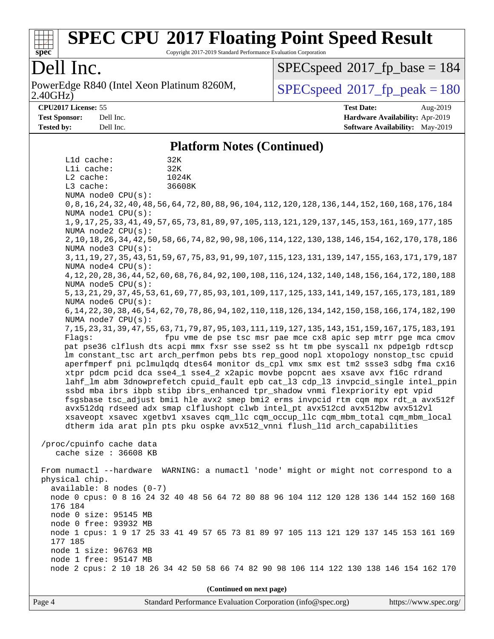

Copyright 2017-2019 Standard Performance Evaluation Corporation

## Dell Inc.

2.40GHz) PowerEdge R840 (Intel Xeon Platinum 8260M,  $SPEC speed@2017$  fp\_peak = 180

[SPECspeed](http://www.spec.org/auto/cpu2017/Docs/result-fields.html#SPECspeed2017fpbase)<sup>®</sup>2017 fp base = 184

**[CPU2017 License:](http://www.spec.org/auto/cpu2017/Docs/result-fields.html#CPU2017License)** 55 **[Test Date:](http://www.spec.org/auto/cpu2017/Docs/result-fields.html#TestDate)** Aug-2019 **[Test Sponsor:](http://www.spec.org/auto/cpu2017/Docs/result-fields.html#TestSponsor)** Dell Inc. **[Hardware Availability:](http://www.spec.org/auto/cpu2017/Docs/result-fields.html#HardwareAvailability)** Apr-2019 **[Tested by:](http://www.spec.org/auto/cpu2017/Docs/result-fields.html#Testedby)** Dell Inc. **[Software Availability:](http://www.spec.org/auto/cpu2017/Docs/result-fields.html#SoftwareAvailability)** May-2019

#### **[Platform Notes \(Continued\)](http://www.spec.org/auto/cpu2017/Docs/result-fields.html#PlatformNotes)**

 L1d cache: 32K L1i cache: 32K L2 cache: 1024K L3 cache: 36608K NUMA node0 CPU(s): 0,8,16,24,32,40,48,56,64,72,80,88,96,104,112,120,128,136,144,152,160,168,176,184 NUMA node1 CPU(s): 1,9,17,25,33,41,49,57,65,73,81,89,97,105,113,121,129,137,145,153,161,169,177,185 NUMA node2 CPU(s): 2,10,18,26,34,42,50,58,66,74,82,90,98,106,114,122,130,138,146,154,162,170,178,186 NUMA node3 CPU(s): 3,11,19,27,35,43,51,59,67,75,83,91,99,107,115,123,131,139,147,155,163,171,179,187 NUMA node4 CPU(s): 4,12,20,28,36,44,52,60,68,76,84,92,100,108,116,124,132,140,148,156,164,172,180,188 NUMA node5 CPU(s): 5,13,21,29,37,45,53,61,69,77,85,93,101,109,117,125,133,141,149,157,165,173,181,189 NUMA node6 CPU(s): 6,14,22,30,38,46,54,62,70,78,86,94,102,110,118,126,134,142,150,158,166,174,182,190 NUMA node7 CPU(s): 7,15,23,31,39,47,55,63,71,79,87,95,103,111,119,127,135,143,151,159,167,175,183,191 Flags: fpu vme de pse tsc msr pae mce cx8 apic sep mtrr pge mca cmov pat pse36 clflush dts acpi mmx fxsr sse sse2 ss ht tm pbe syscall nx pdpe1gb rdtscp lm constant\_tsc art arch\_perfmon pebs bts rep\_good nopl xtopology nonstop\_tsc cpuid aperfmperf pni pclmulqdq dtes64 monitor ds\_cpl vmx smx est tm2 ssse3 sdbg fma cx16 xtpr pdcm pcid dca sse4\_1 sse4\_2 x2apic movbe popcnt aes xsave avx f16c rdrand lahf\_lm abm 3dnowprefetch cpuid\_fault epb cat\_l3 cdp\_l3 invpcid\_single intel\_ppin ssbd mba ibrs ibpb stibp ibrs\_enhanced tpr\_shadow vnmi flexpriority ept vpid fsgsbase tsc\_adjust bmi1 hle avx2 smep bmi2 erms invpcid rtm cqm mpx rdt\_a avx512f avx512dq rdseed adx smap clflushopt clwb intel\_pt avx512cd avx512bw avx512vl xsaveopt xsavec xgetbv1 xsaves cqm\_llc cqm\_occup\_llc cqm\_mbm\_total cqm\_mbm\_local dtherm ida arat pln pts pku ospke avx512\_vnni flush\_l1d arch\_capabilities /proc/cpuinfo cache data cache size : 36608 KB From numactl --hardware WARNING: a numactl 'node' might or might not correspond to a physical chip. available: 8 nodes (0-7) node 0 cpus: 0 8 16 24 32 40 48 56 64 72 80 88 96 104 112 120 128 136 144 152 160 168 176 184 node 0 size: 95145 MB node 0 free: 93932 MB node 1 cpus: 1 9 17 25 33 41 49 57 65 73 81 89 97 105 113 121 129 137 145 153 161 169 177 185 node 1 size: 96763 MB node 1 free: 95147 MB node 2 cpus: 2 10 18 26 34 42 50 58 66 74 82 90 98 106 114 122 130 138 146 154 162 170

**(Continued on next page)**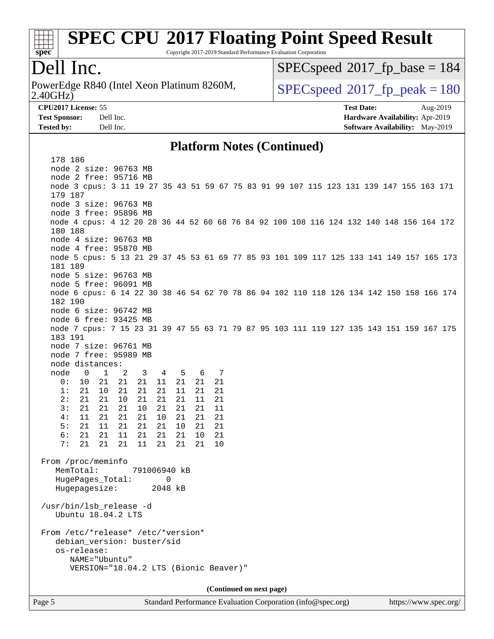

Copyright 2017-2019 Standard Performance Evaluation Corporation

### Dell Inc.

2.40GHz) PowerEdge R840 (Intel Xeon Platinum 8260M,  $SPEC speed@2017$  fp\_peak = 180

[SPECspeed](http://www.spec.org/auto/cpu2017/Docs/result-fields.html#SPECspeed2017fpbase)<sup>®</sup>2017 fp base = 184

**[CPU2017 License:](http://www.spec.org/auto/cpu2017/Docs/result-fields.html#CPU2017License)** 55 **[Test Date:](http://www.spec.org/auto/cpu2017/Docs/result-fields.html#TestDate)** Aug-2019 **[Test Sponsor:](http://www.spec.org/auto/cpu2017/Docs/result-fields.html#TestSponsor)** Dell Inc. **[Hardware Availability:](http://www.spec.org/auto/cpu2017/Docs/result-fields.html#HardwareAvailability)** Apr-2019 **[Tested by:](http://www.spec.org/auto/cpu2017/Docs/result-fields.html#Testedby)** Dell Inc. **[Software Availability:](http://www.spec.org/auto/cpu2017/Docs/result-fields.html#SoftwareAvailability)** May-2019

#### **[Platform Notes \(Continued\)](http://www.spec.org/auto/cpu2017/Docs/result-fields.html#PlatformNotes)**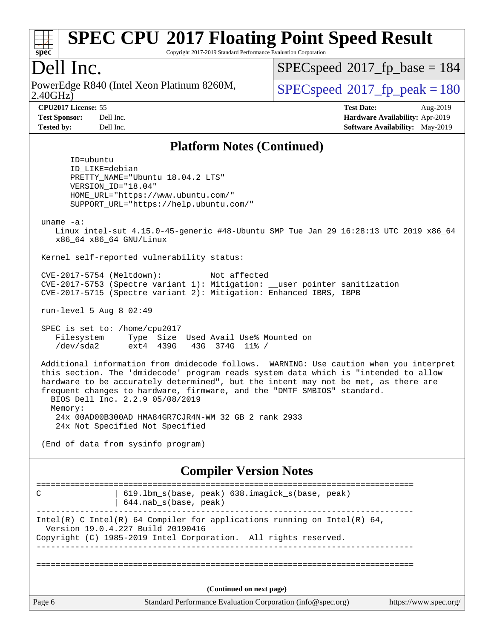

Copyright 2017-2019 Standard Performance Evaluation Corporation

## Dell Inc.

2.40GHz) PowerEdge R840 (Intel Xeon Platinum 8260M,  $SPEC speed@2017$  fp\_peak = 180

[SPECspeed](http://www.spec.org/auto/cpu2017/Docs/result-fields.html#SPECspeed2017fpbase)<sup>®</sup>2017 fp base = 184

**[CPU2017 License:](http://www.spec.org/auto/cpu2017/Docs/result-fields.html#CPU2017License)** 55 **[Test Date:](http://www.spec.org/auto/cpu2017/Docs/result-fields.html#TestDate)** Aug-2019 **[Test Sponsor:](http://www.spec.org/auto/cpu2017/Docs/result-fields.html#TestSponsor)** Dell Inc. **[Hardware Availability:](http://www.spec.org/auto/cpu2017/Docs/result-fields.html#HardwareAvailability)** Apr-2019 **[Tested by:](http://www.spec.org/auto/cpu2017/Docs/result-fields.html#Testedby)** Dell Inc. **[Software Availability:](http://www.spec.org/auto/cpu2017/Docs/result-fields.html#SoftwareAvailability)** May-2019

### **[Platform Notes \(Continued\)](http://www.spec.org/auto/cpu2017/Docs/result-fields.html#PlatformNotes)**

 ID=ubuntu ID\_LIKE=debian PRETTY\_NAME="Ubuntu 18.04.2 LTS" VERSION\_ID="18.04" HOME\_URL="<https://www.ubuntu.com/"> SUPPORT\_URL="<https://help.ubuntu.com/">

uname -a:

 Linux intel-sut 4.15.0-45-generic #48-Ubuntu SMP Tue Jan 29 16:28:13 UTC 2019 x86\_64 x86\_64 x86\_64 GNU/Linux

Kernel self-reported vulnerability status:

 CVE-2017-5754 (Meltdown): Not affected CVE-2017-5753 (Spectre variant 1): Mitigation: \_\_user pointer sanitization CVE-2017-5715 (Spectre variant 2): Mitigation: Enhanced IBRS, IBPB

run-level 5 Aug 8 02:49

 SPEC is set to: /home/cpu2017 Filesystem Type Size Used Avail Use% Mounted on /dev/sda2 ext4 439G 43G 374G 11% /

 Additional information from dmidecode follows. WARNING: Use caution when you interpret this section. The 'dmidecode' program reads system data which is "intended to allow hardware to be accurately determined", but the intent may not be met, as there are frequent changes to hardware, firmware, and the "DMTF SMBIOS" standard. BIOS Dell Inc. 2.2.9 05/08/2019 Memory:

 24x 00AD00B300AD HMA84GR7CJR4N-WM 32 GB 2 rank 2933 24x Not Specified Not Specified

(End of data from sysinfo program)

#### **[Compiler Version Notes](http://www.spec.org/auto/cpu2017/Docs/result-fields.html#CompilerVersionNotes)**

| C                                 | 619.1bm_s(base, peak) 638.imagick_s(base, peak)<br>$644$ .nab s(base, peak)                                                                 |                       |
|-----------------------------------|---------------------------------------------------------------------------------------------------------------------------------------------|-----------------------|
| Version 19.0.4.227 Build 20190416 | Intel(R) C Intel(R) 64 Compiler for applications running on Intel(R) 64,<br>Copyright (C) 1985-2019 Intel Corporation. All rights reserved. |                       |
|                                   | (Continued on next page)                                                                                                                    |                       |
| Page 6                            | Standard Performance Evaluation Corporation (info@spec.org)                                                                                 | https://www.spec.org/ |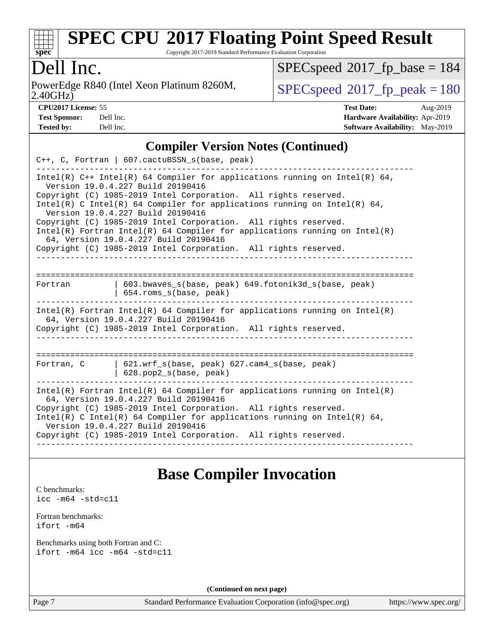

Copyright 2017-2019 Standard Performance Evaluation Corporation

## Dell Inc.

2.40GHz) PowerEdge R840 (Intel Xeon Platinum 8260M,  $\vert$  [SPECspeed](http://www.spec.org/auto/cpu2017/Docs/result-fields.html#SPECspeed2017fppeak)®[2017\\_fp\\_peak = 1](http://www.spec.org/auto/cpu2017/Docs/result-fields.html#SPECspeed2017fppeak)80

 $SPECspeed^{\circledast}2017_fp\_base = 184$  $SPECspeed^{\circledast}2017_fp\_base = 184$ 

| <b>Test Sponsor:</b> | Dell Inc. |
|----------------------|-----------|
| <b>Tested by:</b>    | Dell Inc. |

**[CPU2017 License:](http://www.spec.org/auto/cpu2017/Docs/result-fields.html#CPU2017License)** 55 **[Test Date:](http://www.spec.org/auto/cpu2017/Docs/result-fields.html#TestDate)** Aug-2019 **[Hardware Availability:](http://www.spec.org/auto/cpu2017/Docs/result-fields.html#HardwareAvailability)** Apr-2019 **[Software Availability:](http://www.spec.org/auto/cpu2017/Docs/result-fields.html#SoftwareAvailability)** May-2019

### **[Compiler Version Notes \(Continued\)](http://www.spec.org/auto/cpu2017/Docs/result-fields.html#CompilerVersionNotes)**

|         | $C_{++}$ , C, Fortran   607.cactuBSSN_s(base, peak)                                                                                                                                                                                                                                                                                                                                                                                                                                                                                                                              |
|---------|----------------------------------------------------------------------------------------------------------------------------------------------------------------------------------------------------------------------------------------------------------------------------------------------------------------------------------------------------------------------------------------------------------------------------------------------------------------------------------------------------------------------------------------------------------------------------------|
|         | Intel(R) $C++$ Intel(R) 64 Compiler for applications running on Intel(R) 64,<br>Version 19.0.4.227 Build 20190416<br>Copyright (C) 1985-2019 Intel Corporation. All rights reserved.<br>Intel(R) C Intel(R) 64 Compiler for applications running on Intel(R) 64,<br>Version 19.0.4.227 Build 20190416<br>Copyright (C) 1985-2019 Intel Corporation. All rights reserved.<br>$Intel(R)$ Fortran Intel(R) 64 Compiler for applications running on Intel(R)<br>64, Version 19.0.4.227 Build 20190416<br>Copyright (C) 1985-2019 Intel Corporation. All rights reserved.<br>-------- |
| Fortran | 603.bwaves s(base, peak) 649.fotonik3d s(base, peak)<br>654.roms_s(base, peak)                                                                                                                                                                                                                                                                                                                                                                                                                                                                                                   |
|         | $Intel(R)$ Fortran Intel(R) 64 Compiler for applications running on Intel(R)<br>64, Version 19.0.4.227 Build 20190416<br>Copyright (C) 1985-2019 Intel Corporation. All rights reserved.                                                                                                                                                                                                                                                                                                                                                                                         |
|         |                                                                                                                                                                                                                                                                                                                                                                                                                                                                                                                                                                                  |
|         | Fortran, C   621.wrf s(base, peak) 627.cam4 s(base, peak)<br>$628.$ pop $2_s(base, peak)$                                                                                                                                                                                                                                                                                                                                                                                                                                                                                        |
|         | $Intel(R)$ Fortran Intel(R) 64 Compiler for applications running on Intel(R)<br>64, Version 19.0.4.227 Build 20190416<br>Copyright (C) 1985-2019 Intel Corporation. All rights reserved.<br>Intel(R) C Intel(R) 64 Compiler for applications running on Intel(R) 64,<br>Version 19.0.4.227 Build 20190416<br>Copyright (C) 1985-2019 Intel Corporation. All rights reserved.<br>--------------------<br>-------------                                                                                                                                                            |

### **[Base Compiler Invocation](http://www.spec.org/auto/cpu2017/Docs/result-fields.html#BaseCompilerInvocation)**

[C benchmarks](http://www.spec.org/auto/cpu2017/Docs/result-fields.html#Cbenchmarks): [icc -m64 -std=c11](http://www.spec.org/cpu2017/results/res2019q3/cpu2017-20190819-16952.flags.html#user_CCbase_intel_icc_64bit_c11_33ee0cdaae7deeeab2a9725423ba97205ce30f63b9926c2519791662299b76a0318f32ddfffdc46587804de3178b4f9328c46fa7c2b0cd779d7a61945c91cd35)

[Fortran benchmarks](http://www.spec.org/auto/cpu2017/Docs/result-fields.html#Fortranbenchmarks): [ifort -m64](http://www.spec.org/cpu2017/results/res2019q3/cpu2017-20190819-16952.flags.html#user_FCbase_intel_ifort_64bit_24f2bb282fbaeffd6157abe4f878425411749daecae9a33200eee2bee2fe76f3b89351d69a8130dd5949958ce389cf37ff59a95e7a40d588e8d3a57e0c3fd751)

[Benchmarks using both Fortran and C](http://www.spec.org/auto/cpu2017/Docs/result-fields.html#BenchmarksusingbothFortranandC): [ifort -m64](http://www.spec.org/cpu2017/results/res2019q3/cpu2017-20190819-16952.flags.html#user_CC_FCbase_intel_ifort_64bit_24f2bb282fbaeffd6157abe4f878425411749daecae9a33200eee2bee2fe76f3b89351d69a8130dd5949958ce389cf37ff59a95e7a40d588e8d3a57e0c3fd751) [icc -m64 -std=c11](http://www.spec.org/cpu2017/results/res2019q3/cpu2017-20190819-16952.flags.html#user_CC_FCbase_intel_icc_64bit_c11_33ee0cdaae7deeeab2a9725423ba97205ce30f63b9926c2519791662299b76a0318f32ddfffdc46587804de3178b4f9328c46fa7c2b0cd779d7a61945c91cd35)

**(Continued on next page)**

Page 7 Standard Performance Evaluation Corporation [\(info@spec.org\)](mailto:info@spec.org) <https://www.spec.org/>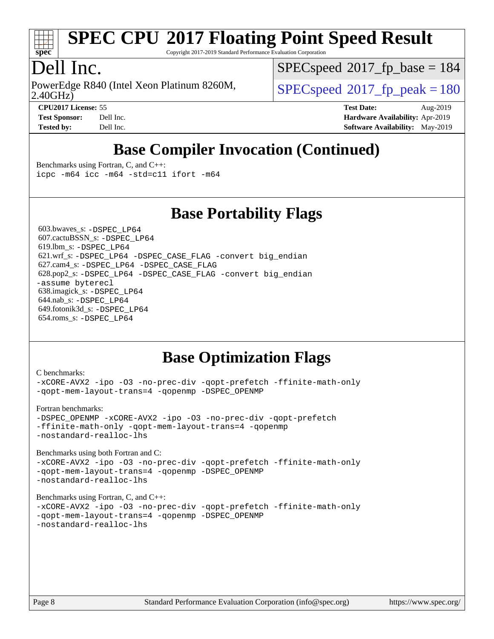

Copyright 2017-2019 Standard Performance Evaluation Corporation

## Dell Inc.

2.40GHz) PowerEdge R840 (Intel Xeon Platinum 8260M,  $\vert$  [SPECspeed](http://www.spec.org/auto/cpu2017/Docs/result-fields.html#SPECspeed2017fppeak)®2017 fp\_peak = 180

[SPECspeed](http://www.spec.org/auto/cpu2017/Docs/result-fields.html#SPECspeed2017fpbase)<sup>®</sup>2017 fp base = 184

**[CPU2017 License:](http://www.spec.org/auto/cpu2017/Docs/result-fields.html#CPU2017License)** 55 **[Test Date:](http://www.spec.org/auto/cpu2017/Docs/result-fields.html#TestDate)** Aug-2019 **[Test Sponsor:](http://www.spec.org/auto/cpu2017/Docs/result-fields.html#TestSponsor)** Dell Inc. **[Hardware Availability:](http://www.spec.org/auto/cpu2017/Docs/result-fields.html#HardwareAvailability)** Apr-2019 **[Tested by:](http://www.spec.org/auto/cpu2017/Docs/result-fields.html#Testedby)** Dell Inc. **[Software Availability:](http://www.spec.org/auto/cpu2017/Docs/result-fields.html#SoftwareAvailability)** May-2019

## **[Base Compiler Invocation \(Continued\)](http://www.spec.org/auto/cpu2017/Docs/result-fields.html#BaseCompilerInvocation)**

[Benchmarks using Fortran, C, and C++:](http://www.spec.org/auto/cpu2017/Docs/result-fields.html#BenchmarksusingFortranCandCXX) [icpc -m64](http://www.spec.org/cpu2017/results/res2019q3/cpu2017-20190819-16952.flags.html#user_CC_CXX_FCbase_intel_icpc_64bit_4ecb2543ae3f1412ef961e0650ca070fec7b7afdcd6ed48761b84423119d1bf6bdf5cad15b44d48e7256388bc77273b966e5eb805aefd121eb22e9299b2ec9d9) [icc -m64 -std=c11](http://www.spec.org/cpu2017/results/res2019q3/cpu2017-20190819-16952.flags.html#user_CC_CXX_FCbase_intel_icc_64bit_c11_33ee0cdaae7deeeab2a9725423ba97205ce30f63b9926c2519791662299b76a0318f32ddfffdc46587804de3178b4f9328c46fa7c2b0cd779d7a61945c91cd35) [ifort -m64](http://www.spec.org/cpu2017/results/res2019q3/cpu2017-20190819-16952.flags.html#user_CC_CXX_FCbase_intel_ifort_64bit_24f2bb282fbaeffd6157abe4f878425411749daecae9a33200eee2bee2fe76f3b89351d69a8130dd5949958ce389cf37ff59a95e7a40d588e8d3a57e0c3fd751)

**[Base Portability Flags](http://www.spec.org/auto/cpu2017/Docs/result-fields.html#BasePortabilityFlags)**

 603.bwaves\_s: [-DSPEC\\_LP64](http://www.spec.org/cpu2017/results/res2019q3/cpu2017-20190819-16952.flags.html#suite_basePORTABILITY603_bwaves_s_DSPEC_LP64) 607.cactuBSSN\_s: [-DSPEC\\_LP64](http://www.spec.org/cpu2017/results/res2019q3/cpu2017-20190819-16952.flags.html#suite_basePORTABILITY607_cactuBSSN_s_DSPEC_LP64) 619.lbm\_s: [-DSPEC\\_LP64](http://www.spec.org/cpu2017/results/res2019q3/cpu2017-20190819-16952.flags.html#suite_basePORTABILITY619_lbm_s_DSPEC_LP64) 621.wrf\_s: [-DSPEC\\_LP64](http://www.spec.org/cpu2017/results/res2019q3/cpu2017-20190819-16952.flags.html#suite_basePORTABILITY621_wrf_s_DSPEC_LP64) [-DSPEC\\_CASE\\_FLAG](http://www.spec.org/cpu2017/results/res2019q3/cpu2017-20190819-16952.flags.html#b621.wrf_s_baseCPORTABILITY_DSPEC_CASE_FLAG) [-convert big\\_endian](http://www.spec.org/cpu2017/results/res2019q3/cpu2017-20190819-16952.flags.html#user_baseFPORTABILITY621_wrf_s_convert_big_endian_c3194028bc08c63ac5d04de18c48ce6d347e4e562e8892b8bdbdc0214820426deb8554edfa529a3fb25a586e65a3d812c835984020483e7e73212c4d31a38223) 627.cam4\_s: [-DSPEC\\_LP64](http://www.spec.org/cpu2017/results/res2019q3/cpu2017-20190819-16952.flags.html#suite_basePORTABILITY627_cam4_s_DSPEC_LP64) [-DSPEC\\_CASE\\_FLAG](http://www.spec.org/cpu2017/results/res2019q3/cpu2017-20190819-16952.flags.html#b627.cam4_s_baseCPORTABILITY_DSPEC_CASE_FLAG) 628.pop2\_s: [-DSPEC\\_LP64](http://www.spec.org/cpu2017/results/res2019q3/cpu2017-20190819-16952.flags.html#suite_basePORTABILITY628_pop2_s_DSPEC_LP64) [-DSPEC\\_CASE\\_FLAG](http://www.spec.org/cpu2017/results/res2019q3/cpu2017-20190819-16952.flags.html#b628.pop2_s_baseCPORTABILITY_DSPEC_CASE_FLAG) [-convert big\\_endian](http://www.spec.org/cpu2017/results/res2019q3/cpu2017-20190819-16952.flags.html#user_baseFPORTABILITY628_pop2_s_convert_big_endian_c3194028bc08c63ac5d04de18c48ce6d347e4e562e8892b8bdbdc0214820426deb8554edfa529a3fb25a586e65a3d812c835984020483e7e73212c4d31a38223) [-assume byterecl](http://www.spec.org/cpu2017/results/res2019q3/cpu2017-20190819-16952.flags.html#user_baseFPORTABILITY628_pop2_s_assume_byterecl_7e47d18b9513cf18525430bbf0f2177aa9bf368bc7a059c09b2c06a34b53bd3447c950d3f8d6c70e3faf3a05c8557d66a5798b567902e8849adc142926523472) 638.imagick\_s: [-DSPEC\\_LP64](http://www.spec.org/cpu2017/results/res2019q3/cpu2017-20190819-16952.flags.html#suite_basePORTABILITY638_imagick_s_DSPEC_LP64) 644.nab\_s: [-DSPEC\\_LP64](http://www.spec.org/cpu2017/results/res2019q3/cpu2017-20190819-16952.flags.html#suite_basePORTABILITY644_nab_s_DSPEC_LP64) 649.fotonik3d\_s: [-DSPEC\\_LP64](http://www.spec.org/cpu2017/results/res2019q3/cpu2017-20190819-16952.flags.html#suite_basePORTABILITY649_fotonik3d_s_DSPEC_LP64) 654.roms\_s: [-DSPEC\\_LP64](http://www.spec.org/cpu2017/results/res2019q3/cpu2017-20190819-16952.flags.html#suite_basePORTABILITY654_roms_s_DSPEC_LP64)

### **[Base Optimization Flags](http://www.spec.org/auto/cpu2017/Docs/result-fields.html#BaseOptimizationFlags)**

| U DEIICHHIATKS.<br>-xCORE-AVX2 -ipo -03 -no-prec-div -qopt-prefetch -ffinite-math-only<br>-gopt-mem-layout-trans=4 -gopenmp -DSPEC OPENMP                                                        |
|--------------------------------------------------------------------------------------------------------------------------------------------------------------------------------------------------|
| Fortran benchmarks:<br>-DSPEC_OPENMP -xCORE-AVX2 -ipo -03 -no-prec-div -qopt-prefetch<br>-ffinite-math-only -qopt-mem-layout-trans=4 -qopenmp<br>-nostandard-realloc-lhs                         |
| Benchmarks using both Fortran and C:<br>-xCORE-AVX2 -ipo -03 -no-prec-div -qopt-prefetch -ffinite-math-only<br>-gopt-mem-layout-trans=4 -gopenmp -DSPEC OPENMP<br>-nostandard-realloc-lhs        |
| Benchmarks using Fortran, C, and $C_{++}$ :<br>-xCORE-AVX2 -ipo -03 -no-prec-div -qopt-prefetch -ffinite-math-only<br>-gopt-mem-layout-trans=4 -gopenmp -DSPEC OPENMP<br>-nostandard-realloc-lhs |
|                                                                                                                                                                                                  |

 $C$  benchmarks: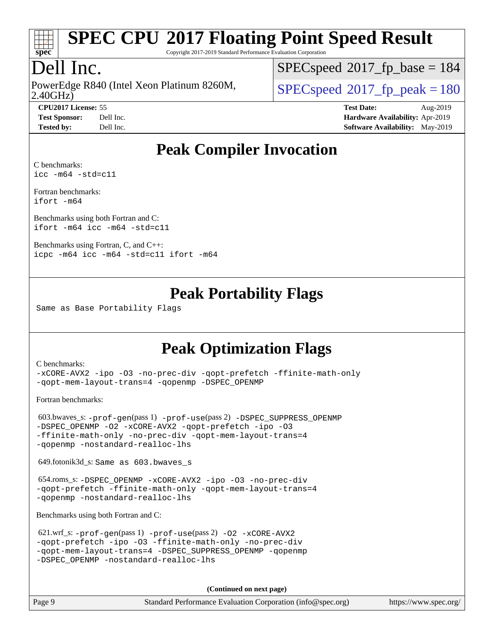

Copyright 2017-2019 Standard Performance Evaluation Corporation

## Dell Inc.

2.40GHz) PowerEdge R840 (Intel Xeon Platinum 8260M,  $SPEC speed@2017$  fp\_peak = 180

[SPECspeed](http://www.spec.org/auto/cpu2017/Docs/result-fields.html#SPECspeed2017fpbase)<sup>®</sup>2017 fp base = 184

**[CPU2017 License:](http://www.spec.org/auto/cpu2017/Docs/result-fields.html#CPU2017License)** 55 **[Test Date:](http://www.spec.org/auto/cpu2017/Docs/result-fields.html#TestDate)** Aug-2019 **[Test Sponsor:](http://www.spec.org/auto/cpu2017/Docs/result-fields.html#TestSponsor)** Dell Inc. **[Hardware Availability:](http://www.spec.org/auto/cpu2017/Docs/result-fields.html#HardwareAvailability)** Apr-2019 **[Tested by:](http://www.spec.org/auto/cpu2017/Docs/result-fields.html#Testedby)** Dell Inc. **[Software Availability:](http://www.spec.org/auto/cpu2017/Docs/result-fields.html#SoftwareAvailability)** May-2019

### **[Peak Compiler Invocation](http://www.spec.org/auto/cpu2017/Docs/result-fields.html#PeakCompilerInvocation)**

[C benchmarks](http://www.spec.org/auto/cpu2017/Docs/result-fields.html#Cbenchmarks): [icc -m64 -std=c11](http://www.spec.org/cpu2017/results/res2019q3/cpu2017-20190819-16952.flags.html#user_CCpeak_intel_icc_64bit_c11_33ee0cdaae7deeeab2a9725423ba97205ce30f63b9926c2519791662299b76a0318f32ddfffdc46587804de3178b4f9328c46fa7c2b0cd779d7a61945c91cd35)

[Fortran benchmarks](http://www.spec.org/auto/cpu2017/Docs/result-fields.html#Fortranbenchmarks): [ifort -m64](http://www.spec.org/cpu2017/results/res2019q3/cpu2017-20190819-16952.flags.html#user_FCpeak_intel_ifort_64bit_24f2bb282fbaeffd6157abe4f878425411749daecae9a33200eee2bee2fe76f3b89351d69a8130dd5949958ce389cf37ff59a95e7a40d588e8d3a57e0c3fd751)

[Benchmarks using both Fortran and C](http://www.spec.org/auto/cpu2017/Docs/result-fields.html#BenchmarksusingbothFortranandC): [ifort -m64](http://www.spec.org/cpu2017/results/res2019q3/cpu2017-20190819-16952.flags.html#user_CC_FCpeak_intel_ifort_64bit_24f2bb282fbaeffd6157abe4f878425411749daecae9a33200eee2bee2fe76f3b89351d69a8130dd5949958ce389cf37ff59a95e7a40d588e8d3a57e0c3fd751) [icc -m64 -std=c11](http://www.spec.org/cpu2017/results/res2019q3/cpu2017-20190819-16952.flags.html#user_CC_FCpeak_intel_icc_64bit_c11_33ee0cdaae7deeeab2a9725423ba97205ce30f63b9926c2519791662299b76a0318f32ddfffdc46587804de3178b4f9328c46fa7c2b0cd779d7a61945c91cd35)

[Benchmarks using Fortran, C, and C++:](http://www.spec.org/auto/cpu2017/Docs/result-fields.html#BenchmarksusingFortranCandCXX) [icpc -m64](http://www.spec.org/cpu2017/results/res2019q3/cpu2017-20190819-16952.flags.html#user_CC_CXX_FCpeak_intel_icpc_64bit_4ecb2543ae3f1412ef961e0650ca070fec7b7afdcd6ed48761b84423119d1bf6bdf5cad15b44d48e7256388bc77273b966e5eb805aefd121eb22e9299b2ec9d9) [icc -m64 -std=c11](http://www.spec.org/cpu2017/results/res2019q3/cpu2017-20190819-16952.flags.html#user_CC_CXX_FCpeak_intel_icc_64bit_c11_33ee0cdaae7deeeab2a9725423ba97205ce30f63b9926c2519791662299b76a0318f32ddfffdc46587804de3178b4f9328c46fa7c2b0cd779d7a61945c91cd35) [ifort -m64](http://www.spec.org/cpu2017/results/res2019q3/cpu2017-20190819-16952.flags.html#user_CC_CXX_FCpeak_intel_ifort_64bit_24f2bb282fbaeffd6157abe4f878425411749daecae9a33200eee2bee2fe76f3b89351d69a8130dd5949958ce389cf37ff59a95e7a40d588e8d3a57e0c3fd751)

### **[Peak Portability Flags](http://www.spec.org/auto/cpu2017/Docs/result-fields.html#PeakPortabilityFlags)**

Same as Base Portability Flags

### **[Peak Optimization Flags](http://www.spec.org/auto/cpu2017/Docs/result-fields.html#PeakOptimizationFlags)**

[C benchmarks](http://www.spec.org/auto/cpu2017/Docs/result-fields.html#Cbenchmarks):

[-xCORE-AVX2](http://www.spec.org/cpu2017/results/res2019q3/cpu2017-20190819-16952.flags.html#user_CCpeak_f-xCORE-AVX2) [-ipo](http://www.spec.org/cpu2017/results/res2019q3/cpu2017-20190819-16952.flags.html#user_CCpeak_f-ipo) [-O3](http://www.spec.org/cpu2017/results/res2019q3/cpu2017-20190819-16952.flags.html#user_CCpeak_f-O3) [-no-prec-div](http://www.spec.org/cpu2017/results/res2019q3/cpu2017-20190819-16952.flags.html#user_CCpeak_f-no-prec-div) [-qopt-prefetch](http://www.spec.org/cpu2017/results/res2019q3/cpu2017-20190819-16952.flags.html#user_CCpeak_f-qopt-prefetch) [-ffinite-math-only](http://www.spec.org/cpu2017/results/res2019q3/cpu2017-20190819-16952.flags.html#user_CCpeak_f_finite_math_only_cb91587bd2077682c4b38af759c288ed7c732db004271a9512da14a4f8007909a5f1427ecbf1a0fb78ff2a814402c6114ac565ca162485bbcae155b5e4258871) [-qopt-mem-layout-trans=4](http://www.spec.org/cpu2017/results/res2019q3/cpu2017-20190819-16952.flags.html#user_CCpeak_f-qopt-mem-layout-trans_fa39e755916c150a61361b7846f310bcdf6f04e385ef281cadf3647acec3f0ae266d1a1d22d972a7087a248fd4e6ca390a3634700869573d231a252c784941a8) [-qopenmp](http://www.spec.org/cpu2017/results/res2019q3/cpu2017-20190819-16952.flags.html#user_CCpeak_qopenmp_16be0c44f24f464004c6784a7acb94aca937f053568ce72f94b139a11c7c168634a55f6653758ddd83bcf7b8463e8028bb0b48b77bcddc6b78d5d95bb1df2967) [-DSPEC\\_OPENMP](http://www.spec.org/cpu2017/results/res2019q3/cpu2017-20190819-16952.flags.html#suite_CCpeak_DSPEC_OPENMP)

[Fortran benchmarks](http://www.spec.org/auto/cpu2017/Docs/result-fields.html#Fortranbenchmarks):

 603.bwaves\_s: [-prof-gen](http://www.spec.org/cpu2017/results/res2019q3/cpu2017-20190819-16952.flags.html#user_peakPASS1_FFLAGSPASS1_LDFLAGS603_bwaves_s_prof_gen_5aa4926d6013ddb2a31985c654b3eb18169fc0c6952a63635c234f711e6e63dd76e94ad52365559451ec499a2cdb89e4dc58ba4c67ef54ca681ffbe1461d6b36)(pass 1) [-prof-use](http://www.spec.org/cpu2017/results/res2019q3/cpu2017-20190819-16952.flags.html#user_peakPASS2_FFLAGSPASS2_LDFLAGS603_bwaves_s_prof_use_1a21ceae95f36a2b53c25747139a6c16ca95bd9def2a207b4f0849963b97e94f5260e30a0c64f4bb623698870e679ca08317ef8150905d41bd88c6f78df73f19)(pass 2) [-DSPEC\\_SUPPRESS\\_OPENMP](http://www.spec.org/cpu2017/results/res2019q3/cpu2017-20190819-16952.flags.html#suite_peakPASS1_FOPTIMIZE603_bwaves_s_DSPEC_SUPPRESS_OPENMP) [-DSPEC\\_OPENMP](http://www.spec.org/cpu2017/results/res2019q3/cpu2017-20190819-16952.flags.html#suite_peakPASS2_FOPTIMIZE603_bwaves_s_DSPEC_OPENMP) [-O2](http://www.spec.org/cpu2017/results/res2019q3/cpu2017-20190819-16952.flags.html#user_peakPASS1_FOPTIMIZE603_bwaves_s_f-O2) [-xCORE-AVX2](http://www.spec.org/cpu2017/results/res2019q3/cpu2017-20190819-16952.flags.html#user_peakPASS2_FOPTIMIZE603_bwaves_s_f-xCORE-AVX2) [-qopt-prefetch](http://www.spec.org/cpu2017/results/res2019q3/cpu2017-20190819-16952.flags.html#user_peakPASS1_FOPTIMIZEPASS2_FOPTIMIZE603_bwaves_s_f-qopt-prefetch) [-ipo](http://www.spec.org/cpu2017/results/res2019q3/cpu2017-20190819-16952.flags.html#user_peakPASS2_FOPTIMIZE603_bwaves_s_f-ipo) [-O3](http://www.spec.org/cpu2017/results/res2019q3/cpu2017-20190819-16952.flags.html#user_peakPASS2_FOPTIMIZE603_bwaves_s_f-O3) [-ffinite-math-only](http://www.spec.org/cpu2017/results/res2019q3/cpu2017-20190819-16952.flags.html#user_peakPASS1_FOPTIMIZEPASS2_FOPTIMIZE603_bwaves_s_f_finite_math_only_cb91587bd2077682c4b38af759c288ed7c732db004271a9512da14a4f8007909a5f1427ecbf1a0fb78ff2a814402c6114ac565ca162485bbcae155b5e4258871) [-no-prec-div](http://www.spec.org/cpu2017/results/res2019q3/cpu2017-20190819-16952.flags.html#user_peakPASS2_FOPTIMIZE603_bwaves_s_f-no-prec-div) [-qopt-mem-layout-trans=4](http://www.spec.org/cpu2017/results/res2019q3/cpu2017-20190819-16952.flags.html#user_peakPASS1_FOPTIMIZEPASS2_FOPTIMIZE603_bwaves_s_f-qopt-mem-layout-trans_fa39e755916c150a61361b7846f310bcdf6f04e385ef281cadf3647acec3f0ae266d1a1d22d972a7087a248fd4e6ca390a3634700869573d231a252c784941a8) [-qopenmp](http://www.spec.org/cpu2017/results/res2019q3/cpu2017-20190819-16952.flags.html#user_peakPASS2_FOPTIMIZE603_bwaves_s_qopenmp_16be0c44f24f464004c6784a7acb94aca937f053568ce72f94b139a11c7c168634a55f6653758ddd83bcf7b8463e8028bb0b48b77bcddc6b78d5d95bb1df2967) [-nostandard-realloc-lhs](http://www.spec.org/cpu2017/results/res2019q3/cpu2017-20190819-16952.flags.html#user_peakEXTRA_FOPTIMIZE603_bwaves_s_f_2003_std_realloc_82b4557e90729c0f113870c07e44d33d6f5a304b4f63d4c15d2d0f1fab99f5daaed73bdb9275d9ae411527f28b936061aa8b9c8f2d63842963b95c9dd6426b8a)

649.fotonik3d\_s: Same as 603.bwaves\_s

 654.roms\_s: [-DSPEC\\_OPENMP](http://www.spec.org/cpu2017/results/res2019q3/cpu2017-20190819-16952.flags.html#suite_peakFOPTIMIZE654_roms_s_DSPEC_OPENMP) [-xCORE-AVX2](http://www.spec.org/cpu2017/results/res2019q3/cpu2017-20190819-16952.flags.html#user_peakFOPTIMIZE654_roms_s_f-xCORE-AVX2) [-ipo](http://www.spec.org/cpu2017/results/res2019q3/cpu2017-20190819-16952.flags.html#user_peakFOPTIMIZE654_roms_s_f-ipo) [-O3](http://www.spec.org/cpu2017/results/res2019q3/cpu2017-20190819-16952.flags.html#user_peakFOPTIMIZE654_roms_s_f-O3) [-no-prec-div](http://www.spec.org/cpu2017/results/res2019q3/cpu2017-20190819-16952.flags.html#user_peakFOPTIMIZE654_roms_s_f-no-prec-div) [-qopt-prefetch](http://www.spec.org/cpu2017/results/res2019q3/cpu2017-20190819-16952.flags.html#user_peakFOPTIMIZE654_roms_s_f-qopt-prefetch) [-ffinite-math-only](http://www.spec.org/cpu2017/results/res2019q3/cpu2017-20190819-16952.flags.html#user_peakFOPTIMIZE654_roms_s_f_finite_math_only_cb91587bd2077682c4b38af759c288ed7c732db004271a9512da14a4f8007909a5f1427ecbf1a0fb78ff2a814402c6114ac565ca162485bbcae155b5e4258871) [-qopt-mem-layout-trans=4](http://www.spec.org/cpu2017/results/res2019q3/cpu2017-20190819-16952.flags.html#user_peakFOPTIMIZE654_roms_s_f-qopt-mem-layout-trans_fa39e755916c150a61361b7846f310bcdf6f04e385ef281cadf3647acec3f0ae266d1a1d22d972a7087a248fd4e6ca390a3634700869573d231a252c784941a8) [-qopenmp](http://www.spec.org/cpu2017/results/res2019q3/cpu2017-20190819-16952.flags.html#user_peakFOPTIMIZE654_roms_s_qopenmp_16be0c44f24f464004c6784a7acb94aca937f053568ce72f94b139a11c7c168634a55f6653758ddd83bcf7b8463e8028bb0b48b77bcddc6b78d5d95bb1df2967) [-nostandard-realloc-lhs](http://www.spec.org/cpu2017/results/res2019q3/cpu2017-20190819-16952.flags.html#user_peakEXTRA_FOPTIMIZE654_roms_s_f_2003_std_realloc_82b4557e90729c0f113870c07e44d33d6f5a304b4f63d4c15d2d0f1fab99f5daaed73bdb9275d9ae411527f28b936061aa8b9c8f2d63842963b95c9dd6426b8a)

[Benchmarks using both Fortran and C](http://www.spec.org/auto/cpu2017/Docs/result-fields.html#BenchmarksusingbothFortranandC):

| 621.wrf_s: $-prof-qen(pass 1) -prof-use(pass 2) -02 -xCORE-AVX2$ |
|------------------------------------------------------------------|
| -gopt-prefetch -ipo -03 -ffinite-math-only -no-prec-div          |
| -gopt-mem-layout-trans=4 -DSPEC SUPPRESS OPENMP -gopenmp         |
| -DSPEC OPENMP -nostandard-realloc-lhs                            |

**(Continued on next page)**